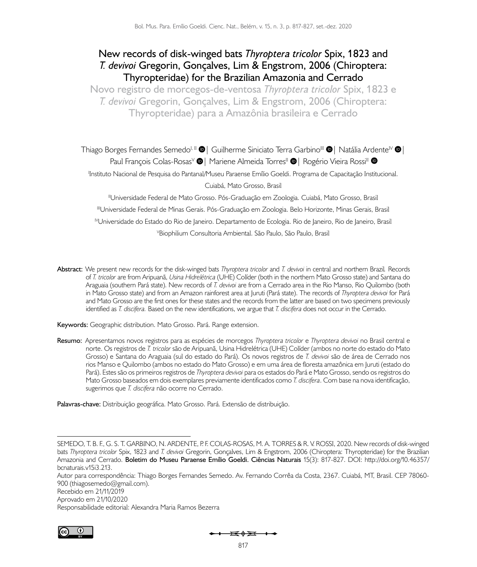## **New records of disk-winged bats** *Thyroptera tricolor* **Spix, 1823 and**  *T. devivoi* **Gregorin, Gonçalves, Lim & Engstrom, 2006 (Chiroptera: Thyropteridae) for the Brazilian Amazonia and Cerrado**

**Novo registro de morcegos-de-ventosa** *Thyroptera tricolor* **Spix, 1823 e**  *T. devivoi* **Gregorin, Gonçalves, Lim & Engstrom, 2006 (Chiroptera: Thyropteridae) para a Amazônia brasileira e Cerrado**

Thiago Borges Fernandes Semedo<sup>I, II</sup>  $\bm{\Theta}$  [|](https://orcid.org/0000-0002-1935-3186) Guilherme Siniciato Terra Garbino<sup>III</sup>  $\bm{\Theta}$  | Natália Ardente<sup>IV</sup>  $\bm{\Theta}$  | PaulFrançois Colas-Rosas<sup>y</sup> <sup>1</sup> Mariene Almeida Torres<sup>II</sup> <sup>1</sup> Rogério Vieira Rossi<sup>II</sup> <sup>1</sup> I Instituto Nacional de Pesquisa do Pantanal/Museu Paraense Emílio Goeldi. Programa de Capacitação Institucional.

Cuiabá, Mato Grosso, Brasil

IIUniversidade Federal de Mato Grosso. Pós-Graduação em Zoologia. Cuiabá, Mato Grosso, Brasil IIIUniversidade Federal de Minas Gerais. Pós-Graduação em Zoologia. Belo Horizonte, Minas Gerais, Brasil IVUniversidade do Estado do Rio de Janeiro. Departamento de Ecologia. Rio de Janeiro, Rio de Janeiro, Brasil V Biophilium Consultoria Ambiental. São Paulo, São Paulo, Brasil

**Abstract:** We present new records for the disk-winged bats *Thyroptera tricolor* and *T. devivoi* in central and northern Brazil*.* Records of *T. tricolor* are from Aripuanã, *Usina Hidrelétrica* (UHE) Colíder (both in the northern Mato Grosso state) and Santana do Araguaia (southern Pará state). New records of *T. devivoi* are from a Cerrado area in the Rio Manso, Rio Quilombo (both in Mato Grosso state) and from an Amazon rainforest area at Juruti (Pará state). The records of *Thyroptera devivoi* for Pará and Mato Grosso are the first ones for these states and the records from the latter are based on two specimens previously identified as *T. discifera.* Based on the new identifications, we argue that *T. discifera* does not occur in the Cerrado.

**Keywords:** Geographic distribution. Mato Grosso. Pará. Range extension.

**Resumo:** Apresentamos novos registros para as espécies de morcegos *Thyroptera tricolor* e *Thyroptera devivoi* no Brasil central e norte. Os registros de *T. tricolor* são de Aripuanã, Usina Hidrelétrica (UHE) Colíder (ambos no norte do estado do Mato Grosso) e Santana do Araguaia (sul do estado do Pará). Os novos registros de *T. devivoi* são de área de Cerrado nos rios Manso e Quilombo (ambos no estado do Mato Grosso) e em uma área de floresta amazônica em Juruti (estado do Pará). Estes são os primeiros registros de *Thyroptera devivoi* para os estados do Pará e Mato Grosso, sendo os registros do Mato Grosso baseados em dois exemplares previamente identificados como *T. discifera*. Com base na nova identificação, sugerimos que *T. discifera* não ocorre no Cerrado.

**Palavras-chave:** Distribuição geográfica. Mato Grosso. Pará. Extensão de distribuição.

Autor para correspondência: Thiago Borges Fernandes Semedo. Av. Fernando Corrêa da Costa, 2367. Cuiabá, MT, Brasil. CEP 78060- 900 [\(thiagosemedo@gmail.com](mailto:(thiagosemedo@gmail.com)).

Recebido em 21/11/2019

Aprovado em 21/10/2020

Responsabilidade editorial: Alexandra Maria Ramos Bezerra



SEMEDO, T. B. F., G. S. T. GARBINO, N. ARDENTE, P. F. COLAS-ROSAS, M. A. TORRES & R. V. ROSSI, 2020. New records of disk-winged bats *Thyroptera tricolor* Spix, 1823 and *T. devivoi* Gregorin, Gonçalves, Lim & Engstrom, 2006 (Chiroptera: Thyropteridae) for the Brazilian Amazonia and Cerrado. **Boletim do Museu Paraense Emílio Goeldi. Ciências Naturais** 15(3): 817-827. DOI: [http://doi.org/10.46357/](http://doi.org/10.46357/bcnaturais.v15i3.213) [bcnaturais.v15i3.213.](http://doi.org/10.46357/bcnaturais.v15i3.213)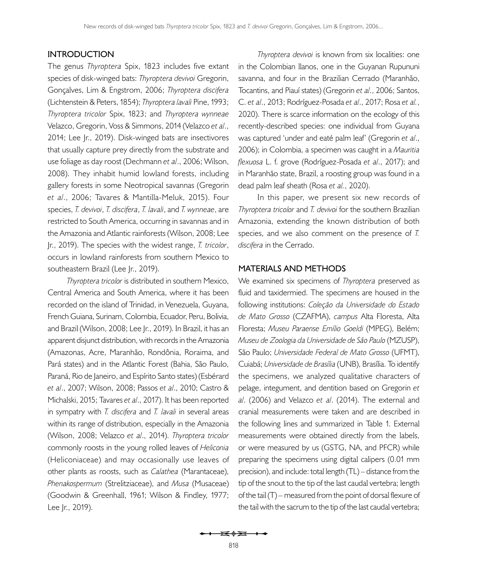## **INTRODUCTION**

The genus *Thyroptera* Spix, 1823 includes five extant species of disk-winged bats: *Thyroptera devivoi* Gregorin, Gonçalves, Lim & Engstrom, 2006; *Thyroptera discifera* (Lichtenstein & Peters, 1854); *Thyroptera lavali* Pine, 1993; *Thyroptera tricolor* Spix, 1823; and *Thyroptera wynneae* Velazco, Gregorin, Voss & Simmons, 2014 ([Velazco](#page-10-0) *et al*., [2014](#page-10-0); [Lee Jr., 2019](#page-9-0)). Disk-winged bats are insectivores that usually capture prey directly from the substrate and use foliage as day roost [\(Dechmann](#page-9-1) *et al*., 2006; [Wilson,](#page-10-1) [2008\)](#page-10-1). They inhabit humid lowland forests, including gallery forests in some Neotropical savannas (Gregorin *et al*., 2006; [Tavares & Mantilla-Meluk, 2015](#page-10-2)). Four species, *T. devivoi*, *T. discifera*, *T. lavali*, and *T. wynneae*, are restricted to South America, occurring in savannas and in the Amazonia and Atlantic rainforests ([Wilson, 2008](#page-10-1); [Lee](#page-9-0) [Jr., 2019\)](#page-9-0). The species with the widest range, *T. tricolor*, occurs in lowland rainforests from southern Mexico to southeastern Brazil ([Lee Jr., 2019](#page-9-0)).

*Thyroptera tricolor* is distributed in southern Mexico, Central America and South America, where it has been recorded on the island of Trinidad, in Venezuela, Guyana, French Guiana, Surinam, Colombia, Ecuador, Peru, Bolivia, and Brazil [\(Wilson, 2008](#page-10-1); [Lee Jr., 2019](#page-9-0)). In Brazil, it has an apparent disjunct distribution, with records in the Amazonia (Amazonas, Acre, Maranhão, Rondônia, Roraima, and Pará states) and in the Atlantic Forest (Bahia, São Paulo, Paraná, Rio de Janeiro, and Espírito Santo states) (Esbérard *et al*., 2007; [Wilson, 2008;](#page-10-1) [Passos](#page-9-2) *et al*., 2010; [Castro &](#page-9-3)  [Michalski, 2015](#page-9-3); [Tavares](#page-10-3) *et al*., 2017). It has been reported in sympatry with *T. discifera* and *T. lavali* in several areas within its range of distribution, especially in the Amazonia ([Wilson, 2008;](#page-10-1) [Velazco](#page-10-0) *et al*., 2014). *Thyroptera tricolor* commonly roosts in the young rolled leaves of *Heliconia* (Heliconiaceae) and may occasionally use leaves of other plants as roosts, such as *Calathea* (Marantaceae), *Phenakospermum* (Strelitziaceae), and *Musa* (Musaceae) ([Goodwin & Greenhall, 1961;](#page-9-4) [Wilson & Findley, 1977](#page-10-4); [Lee Jr., 2019](#page-9-0)).

*Thyroptera devivoi* is known from six localities: one in the Colombian llanos, one in the Guyanan Rupununi savanna, and four in the Brazilian Cerrado (Maranhão, Tocantins, and Piauí states) (Gregorin *et al*., 2006; Santos, C. *et al*., 2013; Rodríguez-Posada *et al*., 2017; Rosa *et al.*, 2020). There is scarce information on the ecology of this recently-described species: one individual from Guyana was captured 'under and eaté palm leaf' (Gregorin *et al*., 2006); in Colombia, a specimen was caught in a *Mauritia flexuosa* L. f. grove (Rodríguez-Posada *et al*., 2017); and in Maranhão state, Brazil, a roosting group was found in a dead palm leaf sheath (Rosa *et al.*, 2020).

In this paper, we present six new records of *Thyroptera tricolor* and *T. devivoi* for the southern Brazilian Amazonia, extending the known distribution of both species, and we also comment on the presence of *T. discifera* in the Cerrado.

## **MATERIALS AND METHODS**

We examined six specimens of *Thyroptera* preserved as fluid and taxidermied. The specimens are housed in the following institutions: *Coleção da Universidade do Estado de Mato Grosso* (CZAFMA), *campus* Alta Floresta, Alta Floresta; *Museu Paraense Emílio Goeldi* (MPEG), Belém; *Museu de Zoologia da Universidade de São Paulo* (MZUSP), São Paulo; *Universidade Federal de Mato Grosso* (UFMT), Cuiabá; *Universidade de Brasília* (UNB), Brasília. To identify the specimens, we analyzed qualitative characters of pelage, integument, and dentition based on Gregorin *et al*. (2006) and [Velazco](#page-10-0) *et al*. (2014). The external and cranial measurements were taken and are described in the following lines and summarized in [Table 1](#page-2-0). External measurements were obtained directly from the labels, or were measured by us (GSTG, NA, and PFCR) while preparing the specimens using digital calipers (0.01 mm precision), and include: total length (TL) – distance from the tip of the snout to the tip of the last caudal vertebra; length of the tail (T) – measured from the point of dorsal flexure of the tail with the sacrum to the tip of the last caudal vertebra;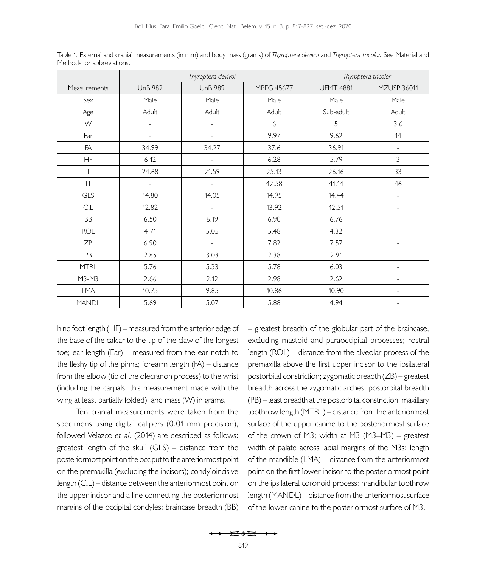|              | Thyroptera devivoi |                |                   | Thyroptera tricolor |                          |
|--------------|--------------------|----------------|-------------------|---------------------|--------------------------|
| Measurements | <b>UnB 982</b>     | <b>UnB 989</b> | <b>MPEG 45677</b> | <b>UFMT 4881</b>    | <b>MZUSP 36011</b>       |
| Sex          | Male               | Male           | Male              | Male                | Male                     |
| Age          | Adult              | Adult          | Adult             | Sub-adult           | Adult                    |
| W            | ÷,                 |                | 6                 | 5                   | 3.6                      |
| Ear          |                    |                | 9.97              | 9.62                | 14                       |
| FA           | 34.99              | 34.27          | 37.6              | 36.91               | $\equiv$                 |
| HF           | 6.12               |                | 6.28              | 5.79                | 3                        |
| $\top$       | 24.68              | 21.59          | 25.13             | 26.16               | 33                       |
| TL           | $\equiv$           | ÷,             | 42.58             | 41.14               | 46                       |
| GLS          | 14.80              | 14.05          | 14.95             | 14.44               |                          |
| CIL          | 12.82              |                | 13.92             | 12.51               |                          |
| ΒB           | 6.50               | 6.19           | 6.90              | 6.76                |                          |
| <b>ROL</b>   | 4.71               | 5.05           | 5.48              | 4.32                |                          |
| ZB           | 6.90               |                | 7.82              | 7.57                |                          |
| PB           | 2.85               | 3.03           | 2.38              | 2.91                |                          |
| <b>MTRL</b>  | 5.76               | 5.33           | 5.78              | 6.03                | $\blacksquare$           |
| M3-M3        | 2.66               | 2.12           | 2.98              | 2.62                | $\overline{\phantom{a}}$ |
| LMA          | 10.75              | 9.85           | 10.86             | 10.90               | $\overline{a}$           |
| <b>MANDL</b> | 5.69               | 5.07           | 5.88              | 4.94                | ٠                        |

<span id="page-2-0"></span>Table 1. External and cranial measurements (in mm) and body mass (grams) of *Thyroptera devivoi* and *Thyroptera tricolor.* See Material and Methods for abbreviations.

hind foot length (HF) – measured from the anterior edge of the base of the calcar to the tip of the claw of the longest toe; ear length (Ear) – measured from the ear notch to the fleshy tip of the pinna; forearm length (FA) – distance from the elbow (tip of the olecranon process) to the wrist (including the carpals, this measurement made with the wing at least partially folded); and mass (W) in grams.

Ten cranial measurements were taken from the specimens using digital calipers (0.01 mm precision), followed [Velazco](#page-10-0) *et al*. (2014) are described as follows: greatest length of the skull (GLS) – distance from the posteriormost point on the occiput to the anteriormost point on the premaxilla (excluding the incisors); condyloincisive length (CIL) – distance between the anteriormost point on the upper incisor and a line connecting the posteriormost margins of the occipital condyles; braincase breadth (BB) – greatest breadth of the globular part of the braincase, excluding mastoid and paraoccipital processes; rostral length (ROL) – distance from the alveolar process of the premaxilla above the first upper incisor to the ipsilateral postorbital constriction; zygomatic breadth (ZB) – greatest breadth across the zygomatic arches; postorbital breadth (PB) – least breadth at the postorbital constriction; maxillary toothrow length (MTRL) – distance from the anteriormost surface of the upper canine to the posteriormost surface of the crown of M3; width at M3 (M3–M3) – greatest width of palate across labial margins of the M3s; length of the mandible (LMA) – distance from the anteriormost point on the first lower incisor to the posteriormost point on the ipsilateral coronoid process; mandibular toothrow length (MANDL) – distance from the anteriormost surface of the lower canine to the posteriormost surface of M3.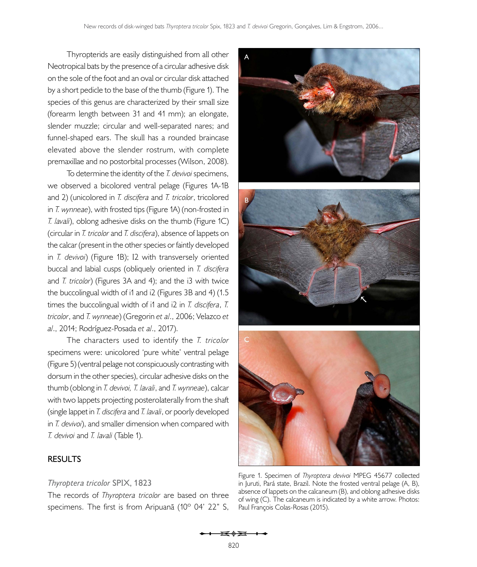Thyropterids are easily distinguished from all other Neotropical bats by the presence of a circular adhesive disk on the sole of the foot and an oval or circular disk attached by a short pedicle to the base of the thumb ([Figure 1](#page-3-0)). The species of this genus are characterized by their small size (forearm length between 31 and 41 mm); an elongate, slender muzzle; circular and well-separated nares; and funnel-shaped ears. The skull has a rounded braincase elevated above the slender rostrum, with complete premaxillae and no postorbital processes [\(Wilson, 2008](#page-10-1)).

To determine the identity of the *T. devivoi* specimens, we observed a bicolored ventral pelage [\(Figures 1A-1B](#page-3-0)  [and 2\)](#page-4-0) (unicolored in *T. discifera* and *T. tricolor*, tricolored in *T. wynneae*), with frosted tips [\(Figure 1A](#page-3-0)) (non-frosted in *T. lavali*), oblong adhesive disks on the thumb [\(Figure 1C](#page-3-0)) (circular in *T. tricolor* and *T. discifera*), absence of lappets on the calcar (present in the other species or faintly developed in *T. devivoi*) ([Figure 1B](#page-3-0)); I2 with transversely oriented buccal and labial cusps (obliquely oriented in *T. discifera*  and *T. tricolor*) [\(Figures 3A](#page-4-1) [and 4](#page-5-0)); and the i3 with twice the buccolingual width of i1 and i2 [\(Figures 3B](#page-4-1) [and 4\)](#page-5-0) (1.5 times the buccolingual width of i1 and i2 in *T. discifera*, *T. tricolor*, and *T. wynneae*) (Gregorin *et al*., 2006; [Velazco](#page-10-0) *et al*[., 2014](#page-10-0); Rodríguez-Posada *et al*., 2017).

The characters used to identify the *T. tricolor*  specimens were: unicolored 'pure white' ventral pelage ([Figure 5](#page-6-0)) (ventral pelage not conspicuously contrasting with dorsum in the other species), circular adhesive disks on the thumb (oblong in *T. devivoi, T. lavali*, and *T. wynneae*), calcar with two lappets projecting posterolaterally from the shaft (single lappet in *T. discifera* and *T. lavali*, or poorly developed in *T. devivoi*), and smaller dimension when compared with *T. devivoi* and *T. lavali* ([Table 1](#page-2-0)).



# **RESULTS**

## *Thyroptera tricolor* **SPIX, 1823**

The records of *Thyroptera tricolor* are based on three specimens. The first is from Aripuanã (10° 04' 22" S,

<span id="page-3-0"></span>Figure 1. Specimen of *Thyroptera devivoi* MPEG 45677 collected in Juruti, Pará state, Brazil. Note the frosted ventral pelage (A, B), absence of lappets on the calcaneum (B), and oblong adhesive disks of wing (C). The calcaneum is indicated by a white arrow. Photos: Paul François Colas-Rosas (2015).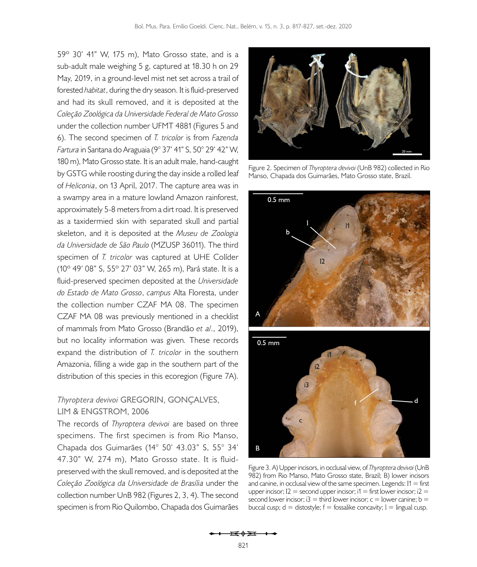59º 30' 41" W, 175 m), Mato Grosso state, and is a sub-adult male weighing 5 g, captured at 18.30 h on 29 May, 2019, in a ground-level mist net set across a trail of forested *habitat*, during the dry season. It is fluid-preserved and had its skull removed, and it is deposited at the *Coleção Zoológica da Universidade Federal de Mato Grosso* under the collection number UFMT 4881 [\(Figures 5](#page-6-0) [and](#page-6-1)  [6](#page-6-1)). The second specimen of *T. tricolor* is from *Fazenda Fartura* in Santana do Araguaia (9° 37' 41" S, 50° 29' 42" W, 180 m), Mato Grosso state. It is an adult male, hand-caught by GSTG while roosting during the day inside a rolled leaf of *Heliconia*, on 13 April, 2017. The capture area was in a swampy area in a mature lowland Amazon rainforest, approximately 5-8 meters from a dirt road. It is preserved as a taxidermied skin with separated skull and partial skeleton, and it is deposited at the *Museu de Zoologia da Universidade de São Paulo* (MZUSP 36011). The third specimen of *T. tricolor* was captured at UHE Colíder (10º 49' 08" S, 55º 27' 03" W, 265 m), Pará state. It is a fluid-preserved specimen deposited at the *Universidade do Estado de Mato Grosso*, *campus* Alta Floresta, under the collection number CZAF MA 08. The specimen CZAF MA 08 was previously mentioned in a checklist of mammals from Mato Grosso (Brandão *et al*., 2019), but no locality information was given*.* These records expand the distribution of *T. tricolor* in the southern Amazonia, filling a wide gap in the southern part of the distribution of this species in this ecoregion ([Figure 7A](#page-7-0)).

## *Thyroptera devivoi* **GREGORIN, GONÇALVES, LIM & ENGSTROM, 2006**

The records of *Thyroptera devivoi* are based on three specimens. The first specimen is from Rio Manso, Chapada dos Guimarães (14° 50' 43.03" S, 55° 34' 47.30" W, 274 m), Mato Grosso state. It is fluidpreserved with the skull removed, and is deposited at the *Coleção Zoológica da Universidade de Brasília* under the collection number UnB 982 ([Figures 2,](#page-4-0) [3,](#page-4-1) [4\)](#page-5-0). The second specimen is from Rio Quilombo, Chapada dos Guimarães



Figure 2. Specimen of *Thyroptera devivoi* (UnB 982) collected in Rio Manso, Chapada dos Guimarães, Mato Grosso state, Brazil.

<span id="page-4-0"></span>

<span id="page-4-1"></span>Figure 3. A) Upper incisors, in occlusal view, of *Thyroptera devivoi* (UnB 982) from Rio Manso, Mato Grosso state, Brazil; B) lower incisors and canine, in occlusal view of the same specimen. Legends:  $11 =$  first upper incisor;  $12 =$  second upper incisor;  $11 =$  first lower incisor;  $12 =$ second lower incisor;  $i3 =$  third lower incisor;  $c =$  lower canine;  $b =$ buccal cusp;  $d =$  distostyle;  $f =$  fossalike concavity;  $l =$  lingual cusp.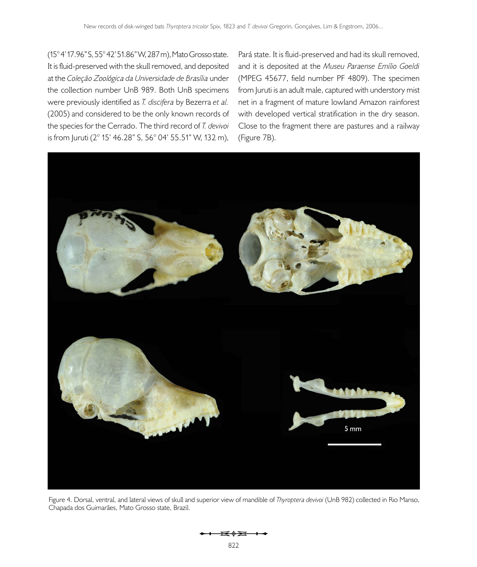(15° 4' 17.96" S, 55° 42' 51.86" W, 287 m), Mato Grosso state. It is fluid-preserved with the skull removed, and deposited at the *Coleção Zoológica da Universidade de Brasília* under the collection number UnB 989. Both UnB specimens were previously identified as *T. discifera* by [Bezerra](#page-9-5) *et al.* [\(2005\)](#page-9-5) and considered to be the only known records of the species for the Cerrado. The third record of *T. devivoi*  is from Juruti (2° 15' 46.28" S, 56° 04' 55.51" W, 132 m),

Pará state. It is fluid-preserved and had its skull removed, and it is deposited at the *Museu Paraense Emílio Goeldi* (MPEG 45677, field number PF 4809). The specimen from Juruti is an adult male, captured with understory mist net in a fragment of mature lowland Amazon rainforest with developed vertical stratification in the dry season. Close to the fragment there are pastures and a railway ([Figure 7B\)](#page-7-0).



Figure 4. Dorsal, ventral, and lateral views of skull and superior view of mandible of *Thyroptera devivoi* (UnB 982) collected in Rio Manso, Chapada dos Guimarães, Mato Grosso state, Brazil.

<span id="page-5-0"></span>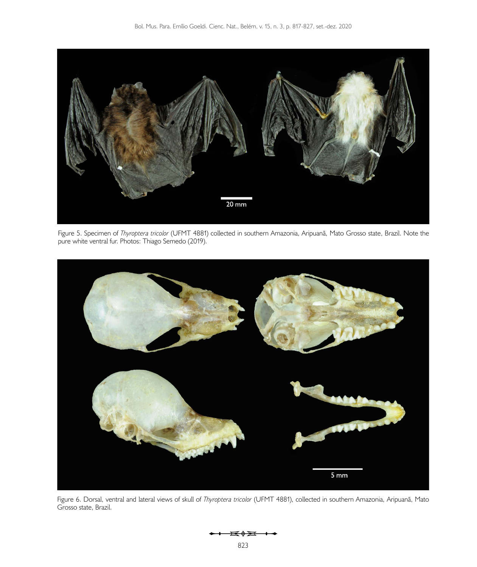

Figure 5. Specimen of *Thyroptera tricolor* (UFMT 4881) collected in southern Amazonia, Aripuanã, Mato Grosso state, Brazil. Note the pure white ventral fur. Photos: Thiago Semedo (2019).

<span id="page-6-0"></span>

Figure 6. Dorsal, ventral and lateral views of skull of *Thyroptera tricolor* (UFMT 4881), collected in southern Amazonia, Aripuanã, Mato Grosso state, Brazil.

<span id="page-6-1"></span>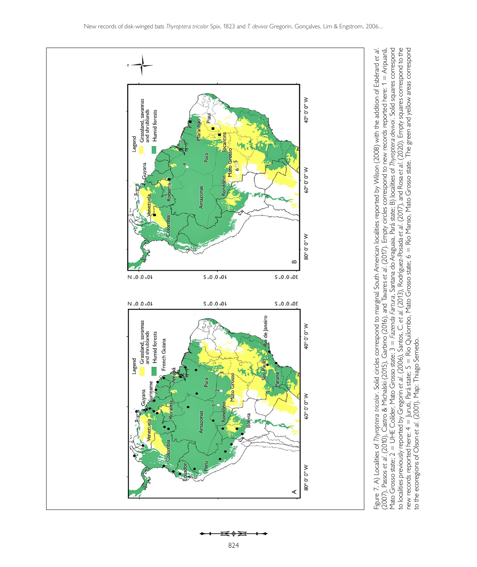

≖∢≆ 824

<span id="page-7-0"></span> $\overline{\phantom{a}}$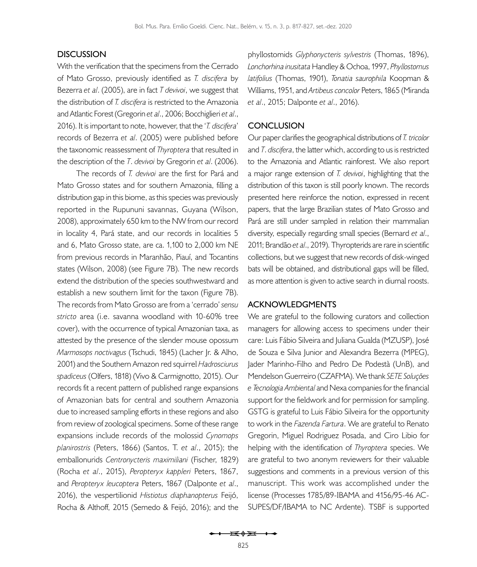## **DISCUSSION**

With the verification that the specimens from the Cerrado of Mato Grosso, previously identified as *T. discifera* by [Bezerra](#page-9-5) *et al*. (2005), are in fact *T devivoi*, we suggest that the distribution of *T. discifera* is restricted to the Amazonia and Atlantic Forest (Gregorin *et al*., 2006; [Bocchiglieri](#page-9-8) *et al*., [2016\)](#page-9-8). It is important to note, however, that the '*T. discifera*' records of [Bezerra](#page-9-5) *et al*. (2005) were published before the taxonomic reassessment of *Thyroptera* that resulted in the description of the *T*. *devivoi* by Gregorin *et al*. (2006).

The records of *T. devivoi* are the first for Pará and Mato Grosso states and for southern Amazonia, filling a distribution gap in this biome, as this species was previously reported in the Rupununi savannas, Guyana ([Wilson,](#page-10-1)  [2008\)](#page-10-1), approximately 650 km to the NW from our record in locality 4, Pará state, and our records in localities 5 and 6, Mato Grosso state, are ca. 1,100 to 2,000 km NE from previous records in Maranhão, Piauí, and Tocantins states [\(Wilson, 2008](#page-10-1)) (se[e Figure 7B\)](#page-7-0). The new records extend the distribution of the species southwestward and establish a new southern limit for the taxon ([Figure 7B](#page-7-0)). The records from Mato Grosso are from a 'cerrado' *sensu stricto* area (i.e. savanna woodland with 10-60% tree cover), with the occurrence of typical Amazonian taxa, as attested by the presence of the slender mouse opossum *Marmosops noctivagus* (Tschudi, 1845) ([Lacher Jr. & Alho,](#page-9-9)  [2001\)](#page-9-9) and the Southern Amazon red squirrel *Hadrosciurus spadiceus* (Olfers, 1818) ([Vivo & Carmignotto, 2015](#page-10-6)). Our records fit a recent pattern of published range expansions of Amazonian bats for central and southern Amazonia due to increased sampling efforts in these regions and also from review of zoological specimens. Some of these range expansions include records of the molossid *Cynomops planirostris* (Peters, 1866) ([Santos, T.](#page-10-7) *et al*., 2015); the emballonurids *Centronycteris maximiliani* (Fischer, 1829) (Rocha *et al*., 2015), *Peropteryx kappleri* Peters, 1867, and *Peropteryx leucoptera* Peters, 1867 ([Dalponte](#page-9-10) *et al*., [2016\)](#page-9-10), the vespertilionid *Histiotus diaphanopterus* Feijó, Rocha & Althoff, 2015 (Semedo & Feijó, 2016); and the

phyllostomids *Glyphonycteris sylvestris* (Thomas, 1896), *Lonchorhina inusitata* Handley & Ochoa, 1997, *Phyllostomus latifolius* (Thomas, 1901), *Tonatia saurophila* Koopman & Williams, 1951, and *Artibeus concolor* Peters, 1865 ([Miranda](#page-9-11) *et al*[., 2015;](#page-9-11) [Dalponte](#page-9-10) *et al*., 2016).

## **CONCLUSION**

Our paper clarifies the geographical distributions of *T. tricolor* and *T*. *discifera*, the latter which, according to us is restricted to the Amazonia and Atlantic rainforest. We also report a major range extension of *T. devivoi*, highlighting that the distribution of this taxon is still poorly known. The records presented here reinforce the notion, expressed in recent papers, that the large Brazilian states of Mato Grosso and Pará are still under sampled in relation their mammalian diversity, especially regarding small species ([Bernard](#page-9-12) *et al*., [2011;](#page-9-12) Brandão *et al*., 2019). Thyropterids are rare in scientific collections, but we suggest that new records of disk-winged bats will be obtained, and distributional gaps will be filled, as more attention is given to active search in diurnal roosts.

#### **ACKNOWLEDGMENTS**

We are grateful to the following curators and collection managers for allowing access to specimens under their care: Luis Fábio Silveira and Juliana Gualda (MZUSP), José de Souza e Silva Junior and Alexandra Bezerra (MPEG), Jader Marinho-Filho and Pedro De Podestà (UnB), and Mendelson Guerreiro (CZAFMA). We thank *SETE Soluções e Tecnologia Ambiental* and Nexa companies for the financial support for the fieldwork and for permission for sampling. GSTG is grateful to Luis Fábio Silveira for the opportunity to work in the *Fazenda Fartura*. We are grateful to Renato Gregorin, Miguel Rodriguez Posada, and Ciro Libio for helping with the identification of *Thyroptera* species. We are grateful to two anonym reviewers for their valuable suggestions and comments in a previous version of this manuscript. This work was accomplished under the license (Processes 1785/89-IBAMA and 4156/95-46 AC-SUPES/DF/IBAMA to NC Ardente). TSBF is supported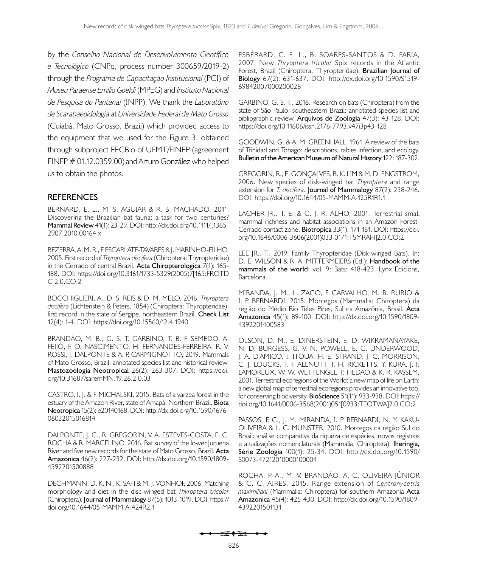by the *Conselho Nacional de Desenvolvimento Científico e Tecnológico* (CNPq, process number 300659/2019-2) through the *Programa de Capacitação Institucional* (PCI) of *Museu Paraense Emílio Goeldi* (MPEG) and *Instituto Nacional de Pesquisa do Pantanal* (INPP). We thank the *Laboratório de Scarabaeoidologia* at *Universidade Federal de Mato Grosso* (Cuiabá, Mato Grosso, Brazil) which provided access to the equipment that we used for the [Figure 3,](#page-4-1) obtained through subproject EECBio of UFMT/FINEP (agreement FINEP # 01.12.0359.00) and Arturo González who helped us to obtain the photos.

## **REFERENCES**

<span id="page-9-12"></span>BERNARD, E. L., M. S. AGUIAR & R. B. MACHADO, 2011. Discovering the Brazilian bat fauna: a task for two centuries? **Mammal Review** 41(1): 23-29. DOI: [http://dx.doi.org/10.1111/j.1365-](http://dx.doi.org/10.1111/j.1365-2907.2010.00164.x) [2907.2010.00164.x](http://dx.doi.org/10.1111/j.1365-2907.2010.00164.x)

<span id="page-9-5"></span>BEZERRA, A. M. R., F. ESCARLATE-TAVARES & J. MARINHO-FILHO, 2005. First record of *Thyroptera discifera* (Chiroptera: Thyropteridae) in the Cerrado of central Brazil. **Acta Chiropterologica** 7(1): 165- 188. DOI: [https://doi.org/10.3161/1733-5329\(2005\)7\[](https://doi.org/10.3161/1733-5329(2005)7[165:FROTDC]2.0.CO;2)165:FROTD C]2.0.CO;2

<span id="page-9-8"></span>BOCCHIGLIERI, A., D. S. REIS & D. M. MELO, 2016. *Thyroptera discifera* (Lichtenstein & Peters, 1854) (Chiroptera: Thyropteridae): first record in the state of Sergipe, northeastern Brazil. **Check List**  12(4): 1-4. DOI: <https://doi.org/10.15560/12.4.1940>

BRANDÃO, M. B., G. S. T. GARBINO, T. B. F, SEMEDO, A. FEIJÓ, F. O. NASCIMENTO, H. FERNANDES-FERREIRA, R. V. ROSSI, J. DALPONTE & A. P. CARMIGNOTTO, 2019. Mammals of Mato Grosso, Brazil: annotated species list and historical review. **Mastozoología Neotropical** 26(2): 263-307. DOI: [https://doi.](https://doi.org/10.31687/saremMN.19.26.2.0.03) [org/10.31687/saremMN.19.26.2.0.03](https://doi.org/10.31687/saremMN.19.26.2.0.03)

<span id="page-9-3"></span>CASTRO, I. J. & F. MICHALSKI, 2015. Bats of a varzea forest in the estuary of the Amazon River, state of Amapá, Northern Brazil. **Biota Neotropica** 15(2): e20140168. DOI: [http://dx.doi.org/10.1590/1676-](http://dx.doi.org/10.1590/1676-06032015016814) [06032015016814](http://dx.doi.org/10.1590/1676-06032015016814)

<span id="page-9-10"></span>DALPONTE, J. C., R. GREGORIN, V. A. ESTEVES-COSTA, E. C. ROCHA & R. MARCELINO, 2016. Bat survey of the lower Juruena River and five new records for the state of Mato Grosso, Brazil. **Acta Amazonica** 46(2): 227-232. DOI: [http://dx.doi.org/10.1590/1809-](http://dx.doi.org/10.1590/1809-4392201500888) [4392201500888](http://dx.doi.org/10.1590/1809-4392201500888)

<span id="page-9-1"></span>DECHMANN, D. K. N., K. SAFI & M. J. VONHOF, 2006. Matching morphology and diet in the disc-winged bat *Thyroptera tricolor*  (Chiroptera). **Journal of Mammalogy** 87(5): 1013-1019. DOI: [https://](https://doi.org/10.1644/05-MAMM-A-424R2.1) [doi.org/10.1644/05-MAMM-A-424R2.1](https://doi.org/10.1644/05-MAMM-A-424R2.1)

ESBÉRARD, C. E. L., B. SOARES-SANTOS & D. FARIA, 2007. New *Thryoptera tricolor* Spix records in the Atlantic Forest, Brazil (Chiroptera, Thyropteridae). **Brazilian Journal of Biology** 67(2): 631-637. DOI: [http://dx.doi.org/10.1590/S1519-](http://dx.doi.org/10.1590/S1519-69842007000200028) [69842007000200028](http://dx.doi.org/10.1590/S1519-69842007000200028)

<span id="page-9-6"></span>GARBINO, G. S. T., 2016. Research on bats (Chiroptera) from the state of São Paulo, southeastern Brazil: annotated species list and bibliographic review. **Arquivos de Zoologia** 47(3): 43-128. DOI: <https://doi.org/10.11606/issn.2176-7793.v47i3p43-128>

<span id="page-9-4"></span>GOODWIN, G. & A. M. GREENHALL, 1961. A review of the bats of Trinidad and Tobago: descriptions, rabies infection, and ecology. **Bulletin of the American Museum of Natural History** 122: 187-302.

GREGORIN, R., E. GONÇALVES, B. K. LIM & M. D. ENGSTROM, 2006. New species of disk-winged bat *Thyroptera* and range extension for *T. discifera*. **Journal of Mammalogy** 87(2): 238-246. DOI: <https://doi.org/10.1644/05-MAMM-A-125R1R1.1>

<span id="page-9-9"></span>LACHER JR., T. E. & C. J. R. ALHO, 2001. Terrestrial small mammal richness and habitat associations in an Amazon Forest-Cerrado contact zone. **Biotropica** 33(1): 171-181. DOI: [https://doi.](https://doi.org/10.1646/0006-3606(2001)033[0171:TSMRAH]2.0.CO;2) [org/10.1646/0006-3606\(2001\)033](https://doi.org/10.1646/0006-3606(2001)033[0171:TSMRAH]2.0.CO;2)[0171:TSMRAH]2.0.CO;2

<span id="page-9-0"></span>LEE JR., T., 2019. Family Thyropteridae (Disk-winged Bats). In: D. E. WILSON & R. A. MITTERMEIERS (Ed.): **Handbook of the mammals of the world**: vol. 9: Bats: 418-423. Lynx Edicions, Barcelona.

<span id="page-9-11"></span>MIRANDA, J. M., L. ZAGO, F. CARVALHO, M. B. RUBIO & I. P. BERNARDI, 2015. Morcegos (Mammalia: Chiroptera) da região do Médio Rio Teles Pires, Sul da Amazônia, Brasil. **Acta Amazonica** 45(1): 89-100. DOI: [http://dx.doi.org/10.1590/1809-](http://dx.doi.org/10.1590/1809-4392201400583) [4392201400583](http://dx.doi.org/10.1590/1809-4392201400583)

<span id="page-9-7"></span>OLSON, D. M., E. DINERSTEIN, E. D. WIKRAMANAYAKE, N. D. BURGESS, G. V. N. POWELL, E. C. UNDERWOOD, J. A. D'AMICO, I. ITOUA, H. E. STRAND, J. C. MORRISON, C. J. LOUCKS, T. F. ALLNUTT, T. H. RICKETTS, Y. KURA, J. F. LAMOREUX, W. W. WETTENGEL, P. HEDAO & K. R. KASSEM, 2001. Terrestrial ecoregions of the World: a new map of life on Earth: a new global map of terrestrial ecoregions provides an innovative tool for conserving biodiversity. **BioScience** 51(11): 933-938. DOI: [https://](https://doi.org/10.1641/0006-3568(2001)051[0933:TEOTWA]2.0.CO;2) [doi.org/10.1641/0006-3568\(2001\)051](https://doi.org/10.1641/0006-3568(2001)051[0933:TEOTWA]2.0.CO;2)[0933:TEOTWA]2.0.CO;2

<span id="page-9-2"></span>PASSOS, F. C., J. M. MIRANDA, I. P. BERNARDI, N. Y. KAKU-OLIVEIRA & L. C. MUNSTER, 2010. Morcegos da região Sul do Brasil: análise comparativa da riqueza de espécies, novos registros e atualizações nomenclaturais (Mammalia, Chiroptera). **Iheringia, Série Zoologia** 100(1): 25-34. DOI: [http://dx.doi.org/10.1590/](http://dx.doi.org/10.1590/S0073-47212010000100004) [S0073-47212010000100004](http://dx.doi.org/10.1590/S0073-47212010000100004) 

ROCHA, P. A., M. V. BRANDÃO, A. C. OLIVEIRA JÚNIOR & C. C. AIRES, 2015. Range extension of *Centronycetris maximiliani* (Mammalia: Chiroptera) for southern Amazonia **Acta Amazonica** 45(4): 425-430. DOI: [http://dx.doi.org/10.1590/1809-](http://dx.doi.org/10.1590/1809-4392201501131) [4392201501131](http://dx.doi.org/10.1590/1809-4392201501131)

 $\overline{1}$   $\overline{0}$   $\overline{0}$   $\overline{0}$   $\overline{0}$   $\overline{0}$   $\overline{0}$   $\overline{0}$   $\overline{0}$   $\overline{0}$   $\overline{0}$   $\overline{0}$   $\overline{0}$   $\overline{0}$   $\overline{0}$   $\overline{0}$   $\overline{0}$   $\overline{0}$   $\overline{0}$   $\overline{0}$   $\overline{0}$   $\overline{0}$   $\overline{0}$   $\overline{0}$   $\overline{$